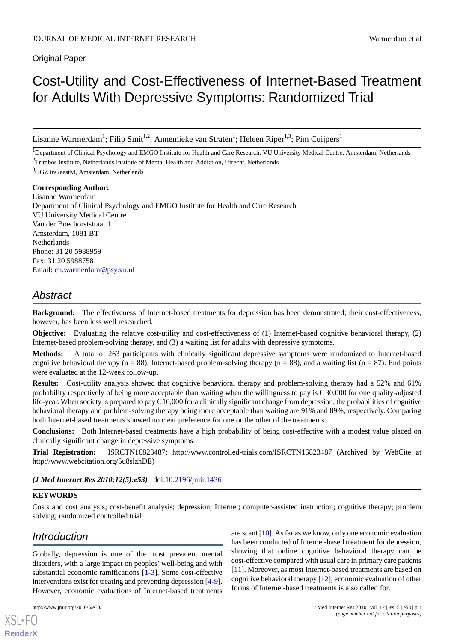Original Paper

# Cost-Utility and Cost-Effectiveness of Internet-Based Treatment for Adults With Depressive Symptoms: Randomized Trial

Lisanne Warmerdam<sup>1</sup>; Filip Smit<sup>1,2</sup>; Annemieke van Straten<sup>1</sup>; Heleen Riper<sup>1,3</sup>; Pim Cuijpers<sup>1</sup>

<sup>1</sup>Department of Clinical Psychology and EMGO Institute for Health and Care Research, VU University Medical Centre, Amsterdam, Netherlands <sup>2</sup>Trimbos Institute, Netherlands Institute of Mental Health and Addiction, Utrecht, Netherlands

 $3$ GGZ inGeestM, Amsterdam, Netherlands

#### **Corresponding Author:**

Lisanne Warmerdam Department of Clinical Psychology and EMGO Institute for Health and Care Research VU University Medical Centre Van der Boechorststraat 1 Amsterdam, 1081 BT **Netherlands** Phone: 31 20 5988959 Fax: 31 20 5988758 Email: [eh.warmerdam@psy.vu.nl](mailto:eh.warmerdam@psy.vu.nl)

# *Abstract*

**Background:** The effectiveness of Internet-based treatments for depression has been demonstrated; their cost-effectiveness, however, has been less well researched.

**Objective:** Evaluating the relative cost-utility and cost-effectiveness of (1) Internet-based cognitive behavioral therapy, (2) Internet-based problem-solving therapy, and (3) a waiting list for adults with depressive symptoms.

**Methods:** A total of 263 participants with clinically significant depressive symptoms were randomized to Internet-based cognitive behavioral therapy (n = 88), Internet-based problem-solving therapy (n = 88), and a waiting list (n = 87). End points were evaluated at the 12-week follow-up.

**Results:** Cost-utility analysis showed that cognitive behavioral therapy and problem-solving therapy had a 52% and 61% probability respectively of being more acceptable than waiting when the willingness to pay is € 30,000 for one quality-adjusted life-year. When society is prepared to pay € 10,000 for a clinically significant change from depression, the probabilities of cognitive behavioral therapy and problem-solving therapy being more acceptable than waiting are 91% and 89%, respectively. Comparing both Internet-based treatments showed no clear preference for one or the other of the treatments.

**Conclusions:** Both Internet-based treatments have a high probability of being cost-effective with a modest value placed on clinically significant change in depressive symptoms.

**Trial Registration:** ISRCTN16823487; http://www.controlled-trials.com/ISRCTN16823487 (Archived by WebCite at http://www.webcitation.org/5u8slzhDE)

(*J Med Internet Res 2010;12(5):e53*) doi: $10.2196/$ jmir.1436

#### **KEYWORDS**

Costs and cost analysis; cost-benefit analysis; depression; Internet; computer-assisted instruction; cognitive therapy; problem solving; randomized controlled trial

# *Introduction*

Globally, depression is one of the most prevalent mental disorders, with a large impact on peoples' well-being and with substantial economic ramifications [[1-](#page-9-0)[3\]](#page-9-1). Some cost-effective interventions exist for treating and preventing depression [\[4-](#page-9-2)[9\]](#page-9-3). However, economic evaluations of Internet-based treatments

[XSL](http://www.w3.org/Style/XSL)•FO **[RenderX](http://www.renderx.com/)**

are scant [\[10](#page-9-4)]. As far as we know, only one economic evaluation has been conducted of Internet-based treatment for depression, showing that online cognitive behavioral therapy can be cost-effective compared with usual care in primary care patients [[11\]](#page-9-5). Moreover, as most Internet-based treatments are based on cognitive behavioral therapy [[12\]](#page-9-6), economic evaluation of other forms of Internet-based treatments is also called for.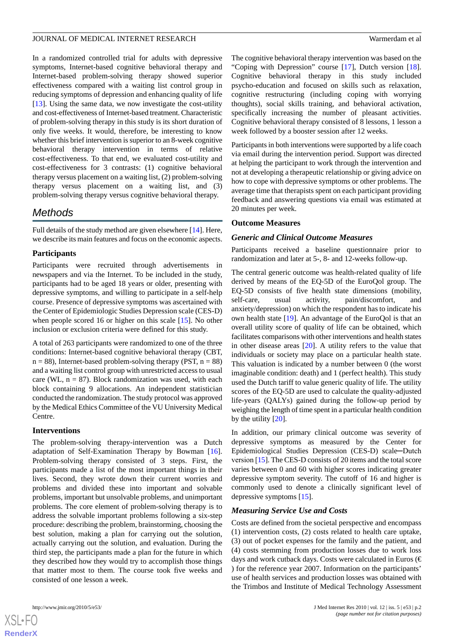In a randomized controlled trial for adults with depressive symptoms, Internet-based cognitive behavioral therapy and Internet-based problem-solving therapy showed superior effectiveness compared with a waiting list control group in reducing symptoms of depression and enhancing quality of life [[13\]](#page-9-7). Using the same data, we now investigate the cost-utility and cost-effectiveness of Internet-based treatment. Characteristic of problem-solving therapy in this study is its short duration of only five weeks. It would, therefore, be interesting to know whether this brief intervention is superior to an 8-week cognitive behavioral therapy intervention in terms of relative cost-effectiveness. To that end, we evaluated cost-utility and cost-effectiveness for 3 contrasts: (1) cognitive behavioral therapy versus placement on a waiting list, (2) problem-solving therapy versus placement on a waiting list, and (3) problem-solving therapy versus cognitive behavioral therapy.

# *Methods*

Full details of the study method are given elsewhere [[14\]](#page-9-8). Here, we describe its main features and focus on the economic aspects.

# **Participants**

Participants were recruited through advertisements in newspapers and via the Internet. To be included in the study, participants had to be aged 18 years or older, presenting with depressive symptoms, and willing to participate in a self-help course. Presence of depressive symptoms was ascertained with the Center of Epidemiologic Studies Depression scale (CES-D) when people scored 16 or higher on this scale [[15\]](#page-9-9). No other inclusion or exclusion criteria were defined for this study.

A total of 263 participants were randomized to one of the three conditions: Internet-based cognitive behavioral therapy (CBT,  $n = 88$ ), Internet-based problem-solving therapy (PST,  $n = 88$ ) and a waiting list control group with unrestricted access to usual care (WL,  $n = 87$ ). Block randomization was used, with each block containing 9 allocations. An independent statistician conducted the randomization. The study protocol was approved by the Medical Ethics Committee of the VU University Medical Centre.

# **Interventions**

The problem-solving therapy-intervention was a Dutch adaptation of Self-Examination Therapy by Bowman [[16\]](#page-9-10). Problem-solving therapy consisted of 3 steps. First, the participants made a list of the most important things in their lives. Second, they wrote down their current worries and problems and divided these into important and solvable problems, important but unsolvable problems, and unimportant problems. The core element of problem-solving therapy is to address the solvable important problems following a six-step procedure: describing the problem, brainstorming, choosing the best solution, making a plan for carrying out the solution, actually carrying out the solution, and evaluation. During the third step, the participants made a plan for the future in which they described how they would try to accomplish those things that matter most to them. The course took five weeks and consisted of one lesson a week.

The cognitive behavioral therapy intervention was based on the "Coping with Depression" course [\[17](#page-9-11)], Dutch version [[18\]](#page-9-12). Cognitive behavioral therapy in this study included psycho-education and focused on skills such as relaxation, cognitive restructuring (including coping with worrying thoughts), social skills training, and behavioral activation, specifically increasing the number of pleasant activities. Cognitive behavioral therapy consisted of 8 lessons, 1 lesson a week followed by a booster session after 12 weeks.

Participants in both interventions were supported by a life coach via email during the intervention period. Support was directed at helping the participant to work through the intervention and not at developing a therapeutic relationship or giving advice on how to cope with depressive symptoms or other problems. The average time that therapists spent on each participant providing feedback and answering questions via email was estimated at 20 minutes per week.

# **Outcome Measures**

# *Generic and Clinical Outcome Measures*

Participants received a baseline questionnaire prior to randomization and later at 5-, 8- and 12-weeks follow-up.

The central generic outcome was health-related quality of life derived by means of the EQ-5D of the EuroQol group. The EQ-5D consists of five health state dimensions (mobility, self-care, usual activity, pain/discomfort, and anxiety/depression) on which the respondent has to indicate his own health state [\[19](#page-9-13)]. An advantage of the EuroQol is that an overall utility score of quality of life can be obtained, which facilitates comparisons with other interventions and health states in other disease areas [[20\]](#page-9-14). A utility refers to the value that individuals or society may place on a particular health state. This valuation is indicated by a number between 0 (the worst imaginable condition: death) and 1 (perfect health). This study used the Dutch tariff to value generic quality of life. The utility scores of the EQ-5D are used to calculate the quality-adjusted life-years (QALYs) gained during the follow-up period by weighing the length of time spent in a particular health condition by the utility [[20\]](#page-9-14).

In addition, our primary clinical outcome was severity of depressive symptoms as measured by the Center for Epidemiological Studies Depression (CES-D) scale─Dutch version [[15\]](#page-9-9). The CES-D consists of 20 items and the total score varies between 0 and 60 with higher scores indicating greater depressive symptom severity. The cutoff of 16 and higher is commonly used to denote a clinically significant level of depressive symptoms [[15\]](#page-9-9).

# *Measuring Service Use and Costs*

Costs are defined from the societal perspective and encompass (1) intervention costs, (2) costs related to health care uptake, (3) out of pocket expenses for the family and the patient, and (4) costs stemming from production losses due to work loss days and work cutback days. Costs were calculated in Euros ( $\epsilon$ ) for the reference year 2007. Information on the participants' use of health services and production losses was obtained with the Trimbos and Institute of Medical Technology Assessment



**[RenderX](http://www.renderx.com/)**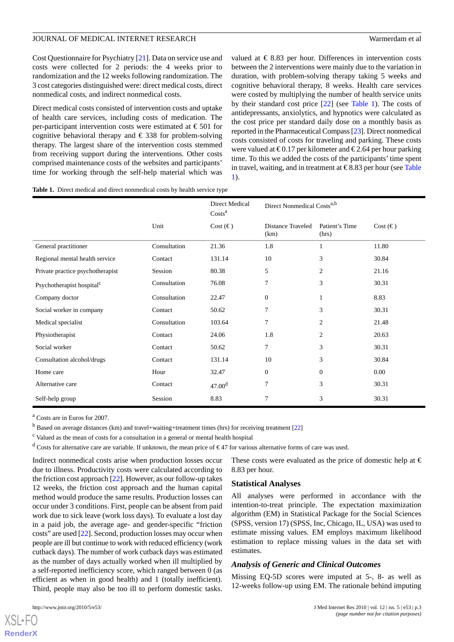Cost Questionnaire for Psychiatry [[21\]](#page-10-0). Data on service use and costs were collected for 2 periods: the 4 weeks prior to randomization and the 12 weeks following randomization. The 3 cost categories distinguished were: direct medical costs, direct nonmedical costs, and indirect nonmedical costs.

Direct medical costs consisted of intervention costs and uptake of health care services, including costs of medication. The per-participant intervention costs were estimated at  $\epsilon$ 501 for cognitive behavioral therapy and  $\epsilon$  338 for problem-solving therapy. The largest share of the intervention costs stemmed from receiving support during the interventions. Other costs comprised maintenance costs of the websites and participants' time for working through the self-help material which was

valued at  $\in$  8.83 per hour. Differences in intervention costs between the 2 interventions were mainly due to the variation in duration, with problem-solving therapy taking 5 weeks and cognitive behavioral therapy, 8 weeks. Health care services were costed by multiplying the number of health service units by their standard cost price [\[22](#page-10-1)] (see Table 1). The costs of antidepressants, anxiolytics, and hypnotics were calculated as the cost price per standard daily dose on a monthly basis as reported in the Pharmaceutical Compass [[23\]](#page-10-2). Direct nonmedical costs consisted of costs for traveling and parking. These costs were valued at  $\epsilon 0.17$  per kilometer and  $\epsilon 2.64$  per hour parking time. To this we added the costs of the participants' time spent in travel, waiting, and in treatment at €8.83 per hour (see Table 1).

#### **Table 1.** Direct medical and direct nonmedical costs by health service type

|                                       |              | Direct Medical<br>$\text{Costs}^a$ | Direct Nonmedical Costs <sup>a,b</sup> |                         |                   |
|---------------------------------------|--------------|------------------------------------|----------------------------------------|-------------------------|-------------------|
|                                       | Unit         | Cost $(\epsilon)$                  | Distance Traveled<br>(km)              | Patient's Time<br>(hrs) | Cost $(\epsilon)$ |
| General practitioner                  | Consultation | 21.36                              | 1.8                                    | 1                       | 11.80             |
| Regional mental health service        | Contact      | 131.14                             | 10                                     | 3                       | 30.84             |
| Private practice psychotherapist      | Session      | 80.38                              | 5                                      | 2                       | 21.16             |
| Psychotherapist hospital <sup>c</sup> | Consultation | 76.08                              | 7                                      | 3                       | 30.31             |
| Company doctor                        | Consultation | 22.47                              | $\boldsymbol{0}$                       | 1                       | 8.83              |
| Social worker in company              | Contact      | 50.62                              | $\tau$                                 | 3                       | 30.31             |
| Medical specialist                    | Consultation | 103.64                             | $\overline{7}$                         | $\overline{c}$          | 21.48             |
| Physiotherapist                       | Contact      | 24.06                              | 1.8                                    | $\overline{c}$          | 20.63             |
| Social worker                         | Contact      | 50.62                              | 7                                      | 3                       | 30.31             |
| Consultation alcohol/drugs            | Contact      | 131.14                             | 10                                     | 3                       | 30.84             |
| Home care                             | Hour         | 32.47                              | $\overline{0}$                         | $\Omega$                | 0.00              |
| Alternative care                      | Contact      | 47.00 <sup>d</sup>                 | $\overline{7}$                         | 3                       | 30.31             |
| Self-help group                       | Session      | 8.83                               | 7                                      | 3                       | 30.31             |

<sup>a</sup> Costs are in Euros for 2007.

<sup>b</sup> Based on average distances (km) and travel+waiting+treatment times (hrs) for receiving treatment [[22](#page-10-1)]

<sup>c</sup> Valued as the mean of costs for a consultation in a general or mental health hospital

<sup>d</sup> Costs for alternative care are variable. If unknown, the mean price of  $\epsilon$ 47 for various alternative forms of care was used.

Indirect nonmedical costs arise when production losses occur due to illness. Productivity costs were calculated according to the friction cost approach [[22](#page-10-1)]. However, as our follow-up takes 12 weeks, the friction cost approach and the human capital method would produce the same results. Production losses can occur under 3 conditions. First, people can be absent from paid work due to sick leave (work loss days). To evaluate a lost day in a paid job, the average age- and gender-specific "friction costs" are used [[22\]](#page-10-1). Second, production losses may occur when people are ill but continue to work with reduced efficiency (work cutback days). The number of work cutback days was estimated as the number of days actually worked when ill multiplied by a self-reported inefficiency score, which ranged between 0 (as efficient as when in good health) and 1 (totally inefficient). Third, people may also be too ill to perform domestic tasks.

These costs were evaluated as the price of domestic help at  $\in$ 8.83 per hour.

#### **Statistical Analyses**

All analyses were performed in accordance with the intention-to-treat principle. The expectation maximization algorithm (EM) in Statistical Package for the Social Sciences (SPSS, version 17) (SPSS, Inc, Chicago, IL, USA) was used to estimate missing values. EM employs maximum likelihood estimation to replace missing values in the data set with estimates.

#### *Analysis of Generic and Clinical Outcomes*

Missing EQ-5D scores were imputed at 5-, 8- as well as 12-weeks follow-up using EM. The rationale behind imputing

 $X$ SL•FO **[RenderX](http://www.renderx.com/)**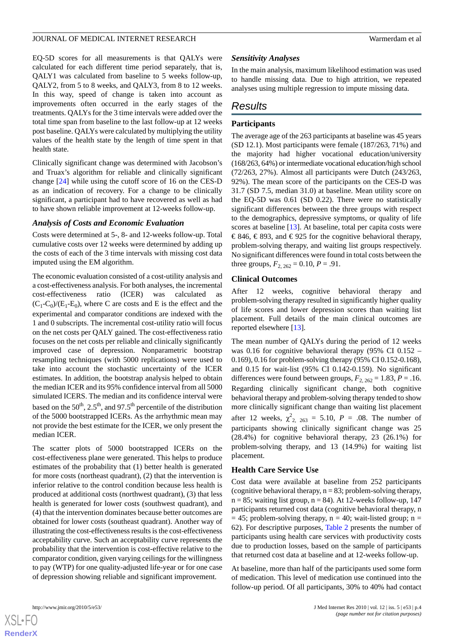EQ-5D scores for all measurements is that QALYs were calculated for each different time period separately, that is, QALY1 was calculated from baseline to 5 weeks follow-up, QALY2, from 5 to 8 weeks, and QALY3, from 8 to 12 weeks. In this way, speed of change is taken into account as improvements often occurred in the early stages of the treatments. QALYs for the 3 time intervals were added over the total time span from baseline to the last follow-up at 12 weeks post baseline. QALYs were calculated by multiplying the utility values of the health state by the length of time spent in that health state.

Clinically significant change was determined with Jacobson's and Truax's algorithm for reliable and clinically significant change [\[24](#page-10-3)] while using the cutoff score of 16 on the CES-D as an indication of recovery. For a change to be clinically significant, a participant had to have recovered as well as had to have shown reliable improvement at 12-weeks follow-up.

#### *Analysis of Costs and Economic Evaluation*

Costs were determined at 5-, 8- and 12-weeks follow-up. Total cumulative costs over 12 weeks were determined by adding up the costs of each of the 3 time intervals with missing cost data imputed using the EM algorithm.

The economic evaluation consisted of a cost-utility analysis and a cost-effectiveness analysis. For both analyses, the incremental cost-effectiveness ratio (ICER) was calculated as  $(C_1-C_0)/(E_1-E_0)$ , where C are costs and E is the effect and the experimental and comparator conditions are indexed with the 1 and 0 subscripts. The incremental cost-utility ratio will focus on the net costs per QALY gained. The cost-effectiveness ratio focuses on the net costs per reliable and clinically significantly improved case of depression. Nonparametric bootstrap resampling techniques (with 5000 replications) were used to take into account the stochastic uncertainty of the ICER estimates. In addition, the bootstrap analysis helped to obtain the median ICER and its 95% confidence interval from all 5000 simulated ICERS. The median and its confidence interval were based on the  $50<sup>th</sup>$ ,  $2.5<sup>th</sup>$ , and  $97.5<sup>th</sup>$  percentile of the distribution of the 5000 bootstrapped ICERs. As the arrhythmic mean may not provide the best estimate for the ICER, we only present the median ICER.

The scatter plots of 5000 bootstrapped ICERs on the cost-effectiveness plane were generated. This helps to produce estimates of the probability that (1) better health is generated for more costs (northeast quadrant), (2) that the intervention is inferior relative to the control condition because less health is produced at additional costs (northwest quadrant), (3) that less health is generated for lower costs (southwest quadrant), and (4) that the intervention dominates because better outcomes are obtained for lower costs (southeast quadrant). Another way of illustrating the cost-effectiveness results is the cost-effectiveness acceptability curve. Such an acceptability curve represents the probability that the intervention is cost-effective relative to the comparator condition, given varying ceilings for the willingness to pay (WTP) for one quality-adjusted life-year or for one case of depression showing reliable and significant improvement.

# *Sensitivity Analyses*

In the main analysis, maximum likelihood estimation was used to handle missing data. Due to high attrition, we repeated analyses using multiple regression to impute missing data.

# *Results*

### **Participants**

The average age of the 263 participants at baseline was 45 years (SD 12.1). Most participants were female (187/263, 71%) and the majority had higher vocational education/university (168/263, 64%) or intermediate vocational education/high school (72/263, 27%). Almost all participants were Dutch (243/263, 92%). The mean score of the participants on the CES-D was 31.7 (SD 7.5, median 31.0) at baseline. Mean utility score on the EQ-5D was 0.61 (SD 0.22). There were no statistically significant differences between the three groups with respect to the demographics, depressive symptoms, or quality of life scores at baseline [[13\]](#page-9-7). At baseline, total per capita costs were € 846, € 893, and € 925 for the cognitive behavioral therapy, problem-solving therapy, and waiting list groups respectively. No significant differences were found in total costs between the three groups,  $F_{2, 262} = 0.10, P = .91$ .

#### **Clinical Outcomes**

After 12 weeks, cognitive behavioral therapy and problem-solving therapy resulted in significantly higher quality of life scores and lower depression scores than waiting list placement. Full details of the main clinical outcomes are reported elsewhere [\[13](#page-9-7)].

The mean number of QALYs during the period of 12 weeks was 0.16 for cognitive behavioral therapy (95% CI 0.152 – 0.169), 0.16 for problem-solving therapy (95% CI 0.152-0.168), and 0.15 for wait-list (95% CI 0.142-0.159). No significant differences were found between groups,  $F_{2, 262} = 1.83$ ,  $P = .16$ . Regarding clinically significant change, both cognitive behavioral therapy and problem-solving therapy tended to show more clinically significant change than waiting list placement after 12 weeks,  $\chi^{2}_{2, 263} = 5.10$ ,  $P = .08$ . The number of participants showing clinically significant change was 25 (28.4%) for cognitive behavioral therapy, 23 (26.1%) for problem-solving therapy, and 13 (14.9%) for waiting list placement.

# **Health Care Service Use**

Cost data were available at baseline from 252 participants (cognitive behavioral therapy,  $n = 83$ ; problem-solving therapy,  $n = 85$ ; waiting list group,  $n = 84$ ). At 12-weeks follow-up, 147 participants returned cost data (cognitive behavioral therapy, n  $= 45$ ; problem-solving therapy,  $n = 40$ ; wait-listed group;  $n =$ 62). For descriptive purposes, Table 2 presents the number of participants using health care services with productivity costs due to production losses, based on the sample of participants that returned cost data at baseline and at 12-weeks follow-up.

At baseline, more than half of the participants used some form of medication. This level of medication use continued into the follow-up period. Of all participants, 30% to 40% had contact



**[RenderX](http://www.renderx.com/)**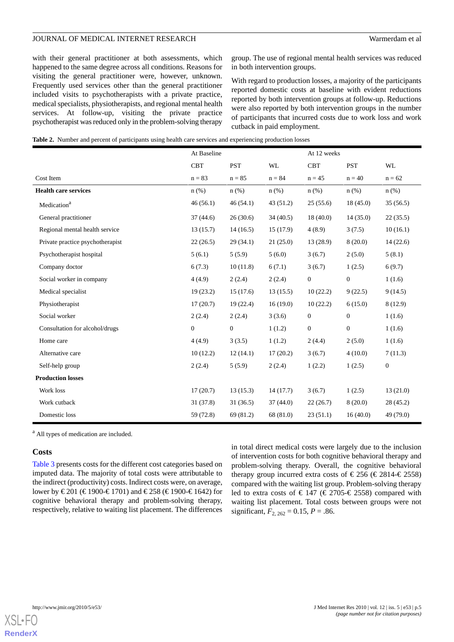with their general practitioner at both assessments, which happened to the same degree across all conditions. Reasons for visiting the general practitioner were, however, unknown. Frequently used services other than the general practitioner included visits to psychotherapists with a private practice, medical specialists, physiotherapists, and regional mental health services. At follow-up, visiting the private practice psychotherapist was reduced only in the problem-solving therapy

group. The use of regional mental health services was reduced in both intervention groups.

With regard to production losses, a majority of the participants reported domestic costs at baseline with evident reductions reported by both intervention groups at follow-up. Reductions were also reported by both intervention groups in the number of participants that incurred costs due to work loss and work cutback in paid employment.

|  |  |  |  |  | Table 2. Number and percent of participants using health care services and experiencing production losses |  |
|--|--|--|--|--|-----------------------------------------------------------------------------------------------------------|--|
|--|--|--|--|--|-----------------------------------------------------------------------------------------------------------|--|

|                                  | At Baseline  |                  | At 12 weeks |              |              |                  |
|----------------------------------|--------------|------------------|-------------|--------------|--------------|------------------|
|                                  | <b>CBT</b>   | <b>PST</b>       | <b>WL</b>   | <b>CBT</b>   | <b>PST</b>   | WL               |
| Cost Item                        | $n = 83$     | $n = 85$         | $n = 84$    | $n = 45$     | $n = 40$     | $n = 62$         |
| <b>Health care services</b>      | $n$ (%)      | $n$ (%)          | $n$ (%)     | $n$ (%)      | $n$ (%)      | $n$ (%)          |
| Medication <sup>a</sup>          | 46(56.1)     | 46(54.1)         | 43(51.2)    | 25(55.6)     | 18(45.0)     | 35(56.5)         |
| General practitioner             | 37(44.6)     | 26(30.6)         | 34(40.5)    | 18(40.0)     | 14(35.0)     | 22(35.5)         |
| Regional mental health service   | 13(15.7)     | 14(16.5)         | 15(17.9)    | 4(8.9)       | 3(7.5)       | 10(16.1)         |
| Private practice psychotherapist | 22(26.5)     | 29(34.1)         | 21(25.0)    | 13(28.9)     | 8(20.0)      | 14(22.6)         |
| Psychotherapist hospital         | 5(6.1)       | 5(5.9)           | 5(6.0)      | 3(6.7)       | 2(5.0)       | 5(8.1)           |
| Company doctor                   | 6(7.3)       | 10(11.8)         | 6(7.1)      | 3(6.7)       | 1(2.5)       | 6(9.7)           |
| Social worker in company         | 4(4.9)       | 2(2.4)           | 2(2.4)      | $\mathbf{0}$ | $\mathbf{0}$ | 1(1.6)           |
| Medical specialist               | 19(23.2)     | 15(17.6)         | 13(15.5)    | 10(22.2)     | 9(22.5)      | 9(14.5)          |
| Physiotherapist                  | 17(20.7)     | 19(22.4)         | 16(19.0)    | 10(22.2)     | 6(15.0)      | 8(12.9)          |
| Social worker                    | 2(2.4)       | 2(2.4)           | 3(3.6)      | $\mathbf{0}$ | $\mathbf{0}$ | 1(1.6)           |
| Consultation for alcohol/drugs   | $\mathbf{0}$ | $\boldsymbol{0}$ | 1(1.2)      | $\mathbf{0}$ | $\mathbf{0}$ | 1(1.6)           |
| Home care                        | 4(4.9)       | 3(3.5)           | 1(1.2)      | 2(4.4)       | 2(5.0)       | 1(1.6)           |
| Alternative care                 | 10(12.2)     | 12(14.1)         | 17(20.2)    | 3(6.7)       | 4(10.0)      | 7(11.3)          |
| Self-help group                  | 2(2.4)       | 5(5.9)           | 2(2.4)      | 1(2.2)       | 1(2.5)       | $\boldsymbol{0}$ |
| <b>Production losses</b>         |              |                  |             |              |              |                  |
| Work loss                        | 17(20.7)     | 13(15.3)         | 14(17.7)    | 3(6.7)       | 1(2.5)       | 13(21.0)         |
| Work cutback                     | 31(37.8)     | 31(36.5)         | 37(44.0)    | 22(26.7)     | 8(20.0)      | 28(45.2)         |
| Domestic loss                    | 59 (72.8)    | 69 (81.2)        | 68 (81.0)   | 23(51.1)     | 16(40.0)     | 49 (79.0)        |

<sup>a</sup> All types of medication are included.

#### **Costs**

Table 3 presents costs for the different cost categories based on imputed data. The majority of total costs were attributable to the indirect (productivity) costs. Indirect costs were, on average, lower by €201 (€1900-€1701) and €258 (€1900-€1642) for cognitive behavioral therapy and problem-solving therapy, respectively, relative to waiting list placement. The differences

in total direct medical costs were largely due to the inclusion of intervention costs for both cognitive behavioral therapy and problem-solving therapy. Overall, the cognitive behavioral therapy group incurred extra costs of  $\in 256$  ( $\in 2814 - \in 2558$ ) compared with the waiting list group. Problem-solving therapy led to extra costs of  $\in$  147 ( $\in$  2705- $\in$  2558) compared with waiting list placement. Total costs between groups were not significant,  $F_{2, 262} = 0.15$ ,  $P = .86$ .

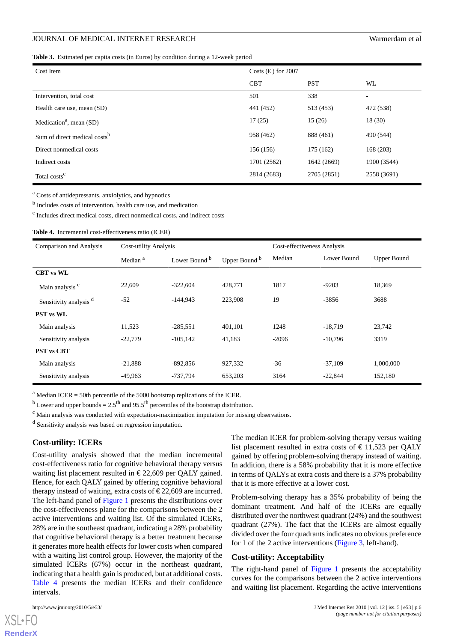**Table 3.** Estimated per capita costs (in Euros) by condition during a 12-week period

| Cost Item                                | Costs $(\epsilon)$ for 2007 |             |             |
|------------------------------------------|-----------------------------|-------------|-------------|
|                                          | <b>CBT</b>                  | <b>PST</b>  | WL          |
| Intervention, total cost                 | 501                         | 338         | ٠           |
| Health care use, mean (SD)               | 441 (452)                   | 513 (453)   | 472 (538)   |
| Medication <sup>a</sup> , mean $(SD)$    | 17(25)                      | 15(26)      | 18 (30)     |
| Sum of direct medical costs <sup>b</sup> | 958 (462)                   | 888 (461)   | 490 (544)   |
| Direct nonmedical costs                  | 156 (156)                   | 175 (162)   | 168 (203)   |
| Indirect costs                           | 1701 (2562)                 | 1642 (2669) | 1900 (3544) |
| Total costs <sup>c</sup>                 | 2814 (2683)                 | 2705 (2851) | 2558 (3691) |

<sup>a</sup> Costs of antidepressants, anxiolytics, and hypnotics

<sup>b</sup> Includes costs of intervention, health care use, and medication

c Includes direct medical costs, direct nonmedical costs, and indirect costs

**Table 4.** Incremental cost-effectiveness ratio (ICER)

| <b>Comparison and Analysis</b>    | <b>Cost-utility Analysis</b> |                                           |         | Cost-effectiveness Analysis |             |                    |  |
|-----------------------------------|------------------------------|-------------------------------------------|---------|-----------------------------|-------------|--------------------|--|
|                                   | Median <sup>a</sup>          | Lower Bound b<br>Upper Bound <sup>b</sup> |         | Median                      | Lower Bound | <b>Upper Bound</b> |  |
| <b>CBT</b> vs WL                  |                              |                                           |         |                             |             |                    |  |
| Main analysis <sup>c</sup>        | 22,609                       | $-322,604$                                | 428,771 | 1817                        | $-9203$     | 18,369             |  |
| Sensitivity analysis <sup>d</sup> | $-52$                        | $-144.943$                                | 223,908 | 19                          | $-3856$     | 3688               |  |
| <b>PST</b> vs WL                  |                              |                                           |         |                             |             |                    |  |
| Main analysis                     | 11,523                       | $-285,551$                                | 401,101 | 1248                        | $-18,719$   | 23,742             |  |
| Sensitivity analysis              | $-22,779$                    | $-105, 142$                               | 41,183  | $-2096$                     | $-10,796$   | 3319               |  |
| <b>PST</b> vs CBT                 |                              |                                           |         |                             |             |                    |  |
| Main analysis                     | $-21,888$                    | $-892,856$                                | 927,332 | $-36$                       | $-37,109$   | 1,000,000          |  |
| Sensitivity analysis              | $-49,963$                    | -737,794                                  | 653,203 | 3164                        | $-22,844$   | 152,180            |  |

 $a<sup>a</sup>$  Median ICER = 50th percentile of the 5000 bootstrap replications of the ICER.

<sup>b</sup> Lower and upper bounds =  $2.5<sup>th</sup>$  and 95.5<sup>th</sup> percentiles of the bootstrap distribution.

 $\epsilon$  Main analysis was conducted with expectation-maximization imputation for missing observations.

<sup>d</sup> Sensitivity analysis was based on regression imputation.

# **Cost-utility: ICERs**

Cost-utility analysis showed that the median incremental cost-effectiveness ratio for cognitive behavioral therapy versus waiting list placement resulted in  $\epsilon$ 22,609 per OALY gained. Hence, for each QALY gained by offering cognitive behavioral therapy instead of waiting, extra costs of  $\epsilon$ 22,609 are incurred. The left-hand panel of Figure 1 presents the distributions over the cost-effectiveness plane for the comparisons between the 2 active interventions and waiting list. Of the simulated ICERs, 28% are in the southeast quadrant, indicating a 28% probability that cognitive behavioral therapy is a better treatment because it generates more health effects for lower costs when compared with a waiting list control group. However, the majority of the simulated ICERs (67%) occur in the northeast quadrant, indicating that a health gain is produced, but at additional costs. Table 4 presents the median ICERs and their confidence intervals.

The median ICER for problem-solving therapy versus waiting list placement resulted in extra costs of  $\epsilon$  11,523 per OALY gained by offering problem-solving therapy instead of waiting. In addition, there is a 58% probability that it is more effective in terms of QALYs at extra costs and there is a 37% probability that it is more effective at a lower cost.

Problem-solving therapy has a 35% probability of being the dominant treatment. And half of the ICERs are equally distributed over the northwest quadrant (24%) and the southwest quadrant (27%). The fact that the ICERs are almost equally divided over the four quadrants indicates no obvious preference for 1 of the 2 active interventions (Figure 3, left-hand).

#### **Cost-utility: Acceptability**

The right-hand panel of Figure 1 presents the acceptability curves for the comparisons between the 2 active interventions and waiting list placement. Regarding the active interventions

[XSL](http://www.w3.org/Style/XSL)•FO **[RenderX](http://www.renderx.com/)**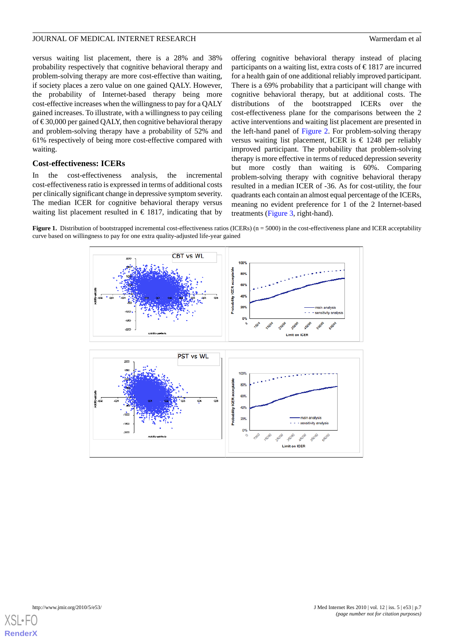versus waiting list placement, there is a 28% and 38% probability respectively that cognitive behavioral therapy and problem-solving therapy are more cost-effective than waiting, if society places a zero value on one gained QALY. However, the probability of Internet-based therapy being more cost-effective increases when the willingness to pay for a QALY gained increases. To illustrate, with a willingness to pay ceiling of  $\text{\textsterling}30,000$  per gained QALY, then cognitive behavioral therapy and problem-solving therapy have a probability of 52% and 61% respectively of being more cost-effective compared with waiting.

### **Cost-effectiveness: ICERs**

In the cost-effectiveness analysis, the incremental cost-effectiveness ratio is expressed in terms of additional costs per clinically significant change in depressive symptom severity. The median ICER for cognitive behavioral therapy versus waiting list placement resulted in  $\epsilon$  1817, indicating that by

offering cognitive behavioral therapy instead of placing participants on a waiting list, extra costs of  $\epsilon$ 1817 are incurred for a health gain of one additional reliably improved participant. There is a 69% probability that a participant will change with cognitive behavioral therapy, but at additional costs. The distributions of the bootstrapped ICERs over the cost-effectiveness plane for the comparisons between the 2 active interventions and waiting list placement are presented in the left-hand panel of Figure 2. For problem-solving therapy versus waiting list placement, ICER is € 1248 per reliably improved participant. The probability that problem-solving therapy is more effective in terms of reduced depression severity but more costly than waiting is 60%. Comparing problem-solving therapy with cognitive behavioral therapy resulted in a median ICER of -36. As for cost-utility, the four quadrants each contain an almost equal percentage of the ICERs, meaning no evident preference for 1 of the 2 Internet-based treatments (Figure 3, right-hand).

**Figure 1.** Distribution of bootstrapped incremental cost-effectiveness ratios (ICERs) (n = 5000) in the cost-effectiveness plane and ICER acceptability curve based on willingness to pay for one extra quality-adjusted life-year gained



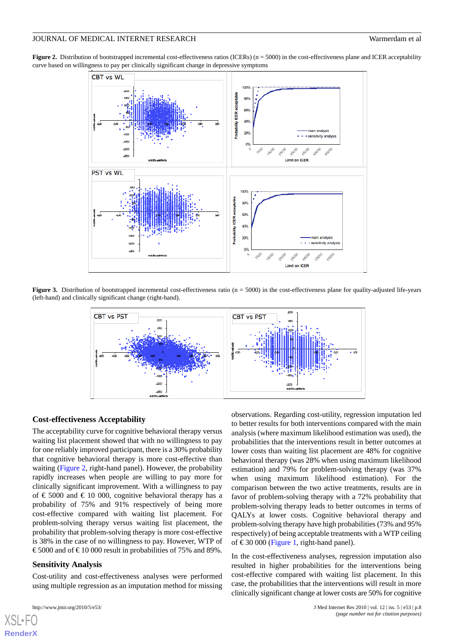**Figure 2.** Distribution of bootstrapped incremental cost-effectiveness ratios (ICERs) (n = 5000) in the cost-effectiveness plane and ICER acceptability curve based on willingness to pay per clinically significant change in depressive symptoms



**Figure 3.** Distribution of bootstrapped incremental cost-effectiveness ratio (n = 5000) in the cost-effectiveness plane for quality-adjusted life-years (left-hand) and clinically significant change (right-hand).



#### **Cost-effectiveness Acceptability**

The acceptability curve for cognitive behavioral therapy versus waiting list placement showed that with no willingness to pay for one reliably improved participant, there is a 30% probability that cognitive behavioral therapy is more cost-effective than waiting (Figure 2, right-hand panel). However, the probability rapidly increases when people are willing to pay more for clinically significant improvement. With a willingness to pay of  $\epsilon$  5000 and  $\epsilon$  10 000, cognitive behavioral therapy has a probability of 75% and 91% respectively of being more cost-effective compared with waiting list placement. For problem-solving therapy versus waiting list placement, the probability that problem-solving therapy is more cost-effective is 38% in the case of no willingness to pay. However, WTP of € 5000 and of €10 000 result in probabilities of 75% and 89%.

#### **Sensitivity Analysis**

Cost-utility and cost-effectiveness analyses were performed using multiple regression as an imputation method for missing

[XSL](http://www.w3.org/Style/XSL)•FO **[RenderX](http://www.renderx.com/)**

observations. Regarding cost-utility, regression imputation led to better results for both interventions compared with the main analysis (where maximum likelihood estimation was used), the probabilities that the interventions result in better outcomes at lower costs than waiting list placement are 48% for cognitive behavioral therapy (was 28% when using maximum likelihood estimation) and 79% for problem-solving therapy (was 37% when using maximum likelihood estimation). For the comparison between the two active treatments, results are in favor of problem-solving therapy with a 72% probability that problem-solving therapy leads to better outcomes in terms of QALYs at lower costs. Cognitive behavioral therapy and problem-solving therapy have high probabilities (73% and 95% respectively) of being acceptable treatments with a WTP ceiling of €30 000 (Figure 1, right-hand panel).

In the cost-effectiveness analyses, regression imputation also resulted in higher probabilities for the interventions being cost-effective compared with waiting list placement. In this case, the probabilities that the interventions will result in more clinically significant change at lower costs are 50% for cognitive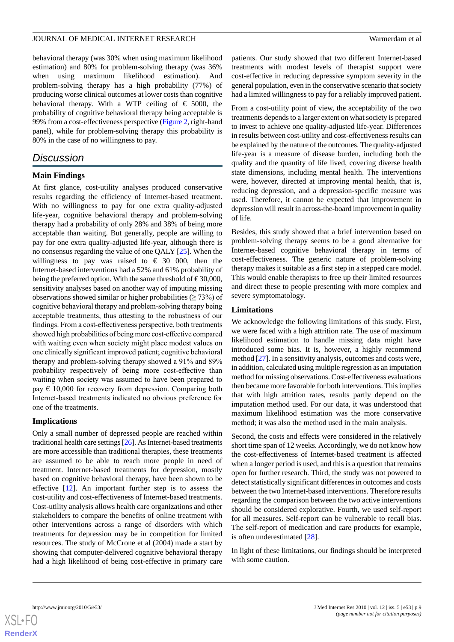behavioral therapy (was 30% when using maximum likelihood estimation) and 80% for problem-solving therapy (was 36% when using maximum likelihood estimation). And problem-solving therapy has a high probability (77%) of producing worse clinical outcomes at lower costs than cognitive behavioral therapy. With a WTP ceiling of  $\epsilon$  5000, the probability of cognitive behavioral therapy being acceptable is 99% from a cost-effectiveness perspective (Figure 2, right-hand panel), while for problem-solving therapy this probability is 80% in the case of no willingness to pay.

# *Discussion*

#### **Main Findings**

At first glance, cost-utility analyses produced conservative results regarding the efficiency of Internet-based treatment. With no willingness to pay for one extra quality-adjusted life-year, cognitive behavioral therapy and problem-solving therapy had a probability of only 28% and 38% of being more acceptable than waiting. But generally, people are willing to pay for one extra quality-adjusted life-year, although there is no consensus regarding the value of one QALY [\[25](#page-10-4)]. When the willingness to pay was raised to  $\epsilon$  30 000, then the Internet-based interventions had a 52% and 61% probability of being the preferred option. With the same threshold of  $\text{\textsterling}30,000$ , sensitivity analyses based on another way of imputing missing observations showed similar or higher probabilities  $($  > 73%) of cognitive behavioral therapy and problem-solving therapy being acceptable treatments, thus attesting to the robustness of our findings. From a cost-effectiveness perspective, both treatments showed high probabilities of being more cost-effective compared with waiting even when society might place modest values on one clinically significant improved patient; cognitive behavioral therapy and problem-solving therapy showed a 91% and 89% probability respectively of being more cost-effective than waiting when society was assumed to have been prepared to pay  $\epsilon$  10,000 for recovery from depression. Comparing both Internet-based treatments indicated no obvious preference for one of the treatments.

#### **Implications**

Only a small number of depressed people are reached within traditional health care settings [\[26\]](#page-10-5). As Internet-based treatments are more accessible than traditional therapies, these treatments are assumed to be able to reach more people in need of treatment. Internet-based treatments for depression, mostly based on cognitive behavioral therapy, have been shown to be effective  $[12]$  $[12]$ . An important further step is to assess the cost-utility and cost-effectiveness of Internet-based treatments. Cost-utility analysis allows health care organizations and other stakeholders to compare the benefits of online treatment with other interventions across a range of disorders with which treatments for depression may be in competition for limited resources. The study of McCrone et al (2004) made a start by showing that computer-delivered cognitive behavioral therapy had a high likelihood of being cost-effective in primary care

patients. Our study showed that two different Internet-based treatments with modest levels of therapist support were cost-effective in reducing depressive symptom severity in the general population, even in the conservative scenario that society had a limited willingness to pay for a reliably improved patient.

From a cost-utility point of view, the acceptability of the two treatments depends to a larger extent on what society is prepared to invest to achieve one quality-adjusted life-year. Differences in results between cost-utility and cost-effectiveness results can be explained by the nature of the outcomes. The quality-adjusted life-year is a measure of disease burden, including both the quality and the quantity of life lived, covering diverse health state dimensions, including mental health. The interventions were, however, directed at improving mental health, that is, reducing depression, and a depression-specific measure was used. Therefore, it cannot be expected that improvement in depression will result in across-the-board improvement in quality of life.

Besides, this study showed that a brief intervention based on problem-solving therapy seems to be a good alternative for Internet-based cognitive behavioral therapy in terms of cost-effectiveness. The generic nature of problem-solving therapy makes it suitable as a first step in a stepped care model. This would enable therapists to free up their limited resources and direct these to people presenting with more complex and severe symptomatology.

#### **Limitations**

We acknowledge the following limitations of this study. First, we were faced with a high attrition rate. The use of maximum likelihood estimation to handle missing data might have introduced some bias. It is, however, a highly recommend method [[27\]](#page-10-6). In a sensitivity analysis, outcomes and costs were, in addition, calculated using multiple regression as an imputation method for missing observations. Cost-effectiveness evaluations then became more favorable for both interventions. This implies that with high attrition rates, results partly depend on the imputation method used. For our data, it was understood that maximum likelihood estimation was the more conservative method; it was also the method used in the main analysis.

Second, the costs and effects were considered in the relatively short time span of 12 weeks. Accordingly, we do not know how the cost-effectiveness of Internet-based treatment is affected when a longer period is used, and this is a question that remains open for further research. Third, the study was not powered to detect statistically significant differences in outcomes and costs between the two Internet-based interventions. Therefore results regarding the comparison between the two active interventions should be considered explorative. Fourth, we used self-report for all measures. Self-report can be vulnerable to recall bias. The self-report of medication and care products for example, is often underestimated [[28\]](#page-10-7).

In light of these limitations, our findings should be interpreted with some caution.

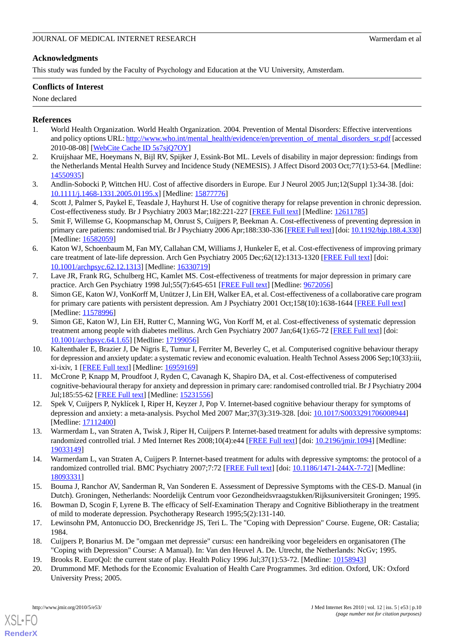# **Acknowledgments**

This study was funded by the Faculty of Psychology and Education at the VU University, Amsterdam.

# **Conflicts of Interest**

None declared

# <span id="page-9-0"></span>**References**

- 1. World Health Organization. World Health Organization. 2004. Prevention of Mental Disorders: Effective interventions and policy options URL: [http://www.who.int/mental\\_health/evidence/en/prevention\\_of\\_mental\\_disorders\\_sr.pdf](http://www.who.int/mental_health/evidence/en/prevention_of_mental_disorders_sr.pdf) [accessed 2010-08-08] [\[WebCite Cache ID 5s7sjQ7OY\]](http://www.webcitation.org/5s7sjQ7OY)
- <span id="page-9-1"></span>2. Kruijshaar ME, Hoeymans N, Bijl RV, Spijker J, Essink-Bot ML. Levels of disability in major depression: findings from the Netherlands Mental Health Survey and Incidence Study (NEMESIS). J Affect Disord 2003 Oct;77(1):53-64. [Medline: [14550935](http://www.ncbi.nlm.nih.gov/entrez/query.fcgi?cmd=Retrieve&db=PubMed&list_uids=14550935&dopt=Abstract)]
- <span id="page-9-2"></span>3. Andlin-Sobocki P, Wittchen HU. Cost of affective disorders in Europe. Eur J Neurol 2005 Jun;12(Suppl 1):34-38. [doi: [10.1111/j.1468-1331.2005.01195.x\]](http://dx.doi.org/10.1111/j.1468-1331.2005.01195.x) [Medline: [15877776\]](http://www.ncbi.nlm.nih.gov/entrez/query.fcgi?cmd=Retrieve&db=PubMed&list_uids=15877776&dopt=Abstract)
- 4. Scott J, Palmer S, Paykel E, Teasdale J, Hayhurst H. Use of cognitive therapy for relapse prevention in chronic depression. Cost-effectiveness study. Br J Psychiatry 2003 Mar;182:221-227 [[FREE Full text](http://bjp.rcpsych.org/cgi/pmidlookup?view=long&pmid=12611785)] [Medline: [12611785\]](http://www.ncbi.nlm.nih.gov/entrez/query.fcgi?cmd=Retrieve&db=PubMed&list_uids=12611785&dopt=Abstract)
- 5. Smit F, Willemse G, Koopmanschap M, Onrust S, Cuijpers P, Beekman A. Cost-effectiveness of preventing depression in primary care patients: randomised trial. Br J Psychiatry 2006 Apr;188:330-336 [[FREE Full text\]](http://bjp.rcpsych.org/cgi/pmidlookup?view=long&pmid=16582059) [doi: [10.1192/bjp.188.4.330\]](http://dx.doi.org/10.1192/bjp.188.4.330) [Medline: [16582059](http://www.ncbi.nlm.nih.gov/entrez/query.fcgi?cmd=Retrieve&db=PubMed&list_uids=16582059&dopt=Abstract)]
- 6. Katon WJ, Schoenbaum M, Fan MY, Callahan CM, Williams J, Hunkeler E, et al. Cost-effectiveness of improving primary care treatment of late-life depression. Arch Gen Psychiatry 2005 Dec;62(12):1313-1320 [\[FREE Full text\]](http://archpsyc.ama-assn.org/cgi/pmidlookup?view=long&pmid=16330719) [doi: [10.1001/archpsyc.62.12.1313\]](http://dx.doi.org/10.1001/archpsyc.62.12.1313) [Medline: [16330719\]](http://www.ncbi.nlm.nih.gov/entrez/query.fcgi?cmd=Retrieve&db=PubMed&list_uids=16330719&dopt=Abstract)
- 7. Lave JR, Frank RG, Schulberg HC, Kamlet MS. Cost-effectiveness of treatments for major depression in primary care practice. Arch Gen Psychiatry 1998 Jul;55(7):645-651 [\[FREE Full text](http://archpsyc.ama-assn.org/cgi/pmidlookup?view=long&pmid=9672056)] [Medline: [9672056](http://www.ncbi.nlm.nih.gov/entrez/query.fcgi?cmd=Retrieve&db=PubMed&list_uids=9672056&dopt=Abstract)]
- <span id="page-9-3"></span>8. Simon GE, Katon WJ, VonKorff M, Unützer J, Lin EH, Walker EA, et al. Cost-effectiveness of a collaborative care program for primary care patients with persistent depression. Am J Psychiatry 2001 Oct;158(10):1638-1644 [\[FREE Full text\]](http://ajp.psychiatryonline.org/cgi/pmidlookup?view=long&pmid=11578996) [Medline: [11578996](http://www.ncbi.nlm.nih.gov/entrez/query.fcgi?cmd=Retrieve&db=PubMed&list_uids=11578996&dopt=Abstract)]
- <span id="page-9-4"></span>9. Simon GE, Katon WJ, Lin EH, Rutter C, Manning WG, Von Korff M, et al. Cost-effectiveness of systematic depression treatment among people with diabetes mellitus. Arch Gen Psychiatry 2007 Jan;64(1):65-72 [\[FREE Full text\]](http://archpsyc.ama-assn.org/cgi/pmidlookup?view=long&pmid=17199056) [doi: [10.1001/archpsyc.64.1.65\]](http://dx.doi.org/10.1001/archpsyc.64.1.65) [Medline: [17199056\]](http://www.ncbi.nlm.nih.gov/entrez/query.fcgi?cmd=Retrieve&db=PubMed&list_uids=17199056&dopt=Abstract)
- <span id="page-9-5"></span>10. Kaltenthaler E, Brazier J, De Nigris E, Tumur I, Ferriter M, Beverley C, et al. Computerised cognitive behaviour therapy for depression and anxiety update: a systematic review and economic evaluation. Health Technol Assess 2006 Sep;10(33):iii, xi-ixiv, 1 [\[FREE Full text](http://www.hta.ac.uk/execsumm/summ1033.htm)] [Medline: [16959169](http://www.ncbi.nlm.nih.gov/entrez/query.fcgi?cmd=Retrieve&db=PubMed&list_uids=16959169&dopt=Abstract)]
- <span id="page-9-7"></span><span id="page-9-6"></span>11. McCrone P, Knapp M, Proudfoot J, Ryden C, Cavanagh K, Shapiro DA, et al. Cost-effectiveness of computerised cognitive-behavioural therapy for anxiety and depression in primary care: randomised controlled trial. Br J Psychiatry 2004 Jul;185:55-62 [[FREE Full text](http://bjp.rcpsych.org/cgi/pmidlookup?view=long&pmid=15231556)] [Medline: [15231556](http://www.ncbi.nlm.nih.gov/entrez/query.fcgi?cmd=Retrieve&db=PubMed&list_uids=15231556&dopt=Abstract)]
- <span id="page-9-8"></span>12. Spek V, Cuijpers P, Nyklícek I, Riper H, Keyzer J, Pop V. Internet-based cognitive behaviour therapy for symptoms of depression and anxiety: a meta-analysis. Psychol Med 2007 Mar;37(3):319-328. [doi: [10.1017/S0033291706008944](http://dx.doi.org/10.1017/S0033291706008944)] [Medline: [17112400](http://www.ncbi.nlm.nih.gov/entrez/query.fcgi?cmd=Retrieve&db=PubMed&list_uids=17112400&dopt=Abstract)]
- <span id="page-9-9"></span>13. Warmerdam L, van Straten A, Twisk J, Riper H, Cuijpers P. Internet-based treatment for adults with depressive symptoms: randomized controlled trial. J Med Internet Res 2008;10(4):e44 [\[FREE Full text\]](http://www.jmir.org/2008/4/e44/) [doi: [10.2196/jmir.1094\]](http://dx.doi.org/10.2196/jmir.1094) [Medline: [19033149](http://www.ncbi.nlm.nih.gov/entrez/query.fcgi?cmd=Retrieve&db=PubMed&list_uids=19033149&dopt=Abstract)]
- <span id="page-9-11"></span><span id="page-9-10"></span>14. Warmerdam L, van Straten A, Cuijpers P. Internet-based treatment for adults with depressive symptoms: the protocol of a randomized controlled trial. BMC Psychiatry 2007;7:72 [\[FREE Full text\]](http://www.biomedcentral.com/1471-244X/7/72) [doi: [10.1186/1471-244X-7-72](http://dx.doi.org/10.1186/1471-244X-7-72)] [Medline: [18093331](http://www.ncbi.nlm.nih.gov/entrez/query.fcgi?cmd=Retrieve&db=PubMed&list_uids=18093331&dopt=Abstract)]
- <span id="page-9-12"></span>15. Bouma J, Ranchor AV, Sanderman R, Van Sonderen E. Assessment of Depressive Symptoms with the CES-D. Manual (in Dutch). Groningen, Netherlands: Noordelijk Centrum voor Gezondheidsvraagstukken/Rijksuniversiteit Groningen; 1995.
- <span id="page-9-14"></span><span id="page-9-13"></span>16. Bowman D, Scogin F, Lyrene B. The efficacy of Self-Examination Therapy and Cognitive Bibliotherapy in the treatment of mild to moderate depression. Psychotherapy Research 1995;5(2):131-140.
- 17. Lewinsohn PM, Antonuccio DO, Breckenridge JS, Teri L. The "Coping with Depression" Course. Eugene, OR: Castalia; 1984.
- 18. Cuijpers P, Bonarius M. De "omgaan met depressie" cursus: een handreiking voor begeleiders en organisatoren (The "Coping with Depression" Course: A Manual). In: Van den Heuvel A. De. Utrecht, the Netherlands: NcGv; 1995.
- 19. Brooks R. EuroQol: the current state of play. Health Policy 1996 Jul;37(1):53-72. [Medline: [10158943\]](http://www.ncbi.nlm.nih.gov/entrez/query.fcgi?cmd=Retrieve&db=PubMed&list_uids=10158943&dopt=Abstract)
- 20. Drummond MF. Methods for the Economic Evaluation of Health Care Programmes. 3rd edition. Oxford, UK: Oxford University Press; 2005.

[XSL](http://www.w3.org/Style/XSL)•FO **[RenderX](http://www.renderx.com/)**